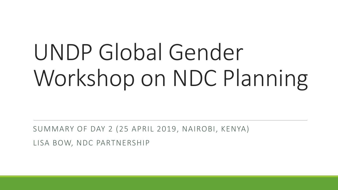# UNDP Global Gender Workshop on NDC Planning

SUMMARY OF DAY 2 (25 APRIL 2019, NAIROBI, KENYA)

LISA BOW, NDC PARTNERSHIP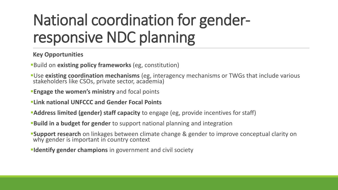### National coordination for genderresponsive NDC planning

#### **Key Opportunities**

- **Build on existing policy frameworks** (eg, constitution)
- **Use existing coordination mechanisms** (eg, interagency mechanisms or TWGs that include various stakeholders like CSOs, private sector, academia)
- **Engage the women's ministry** and focal points
- **ELink national UNFCCC and Gender Focal Points**
- **Address limited (gender) staff capacity** to engage (eg, provide incentives for staff)
- **Build in a budget for gender** to support national planning and integration
- **Support research** on linkages between climate change & gender to improve conceptual clarity on why gender is important in country context
- **Identify gender champions** in government and civil society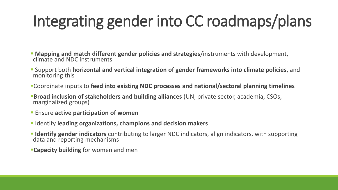### Integrating gender into CC roadmaps/plans

- *EXAPPING and match different gender policies and strategies/instruments with development,* climate and NDC instruments
- Support both **horizontal and vertical integration of gender frameworks into climate policies**, and monitoring this
- ▪Coordinate inputs to **feed into existing NDC processes and national/sectoral planning timelines**
- **Broad inclusion of stakeholders and building alliances** (UN, private sector, academia, CSOs, marginalized groups)
- **Ensure active participation of women**
- Identify **leading organizations, champions and decision makers**
- **Example 1 Identify gender indicators** contributing to larger NDC indicators, align indicators, with supporting data and reporting mechanisms
- **Example: Example 1 Capacity building** for women and men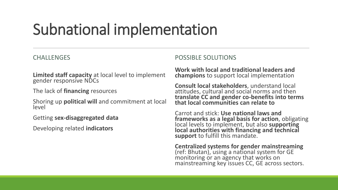#### Subnational implementation

#### **CHALLENGES**

**Limited staff capacity** at local level to implement gender responsive NDCs

The lack of **financing** resources

Shoring up **political will** and commitment at local level

Getting **sex-disaggregated data**

Developing related **indicators**

POSSIBLE SOLUTIONS

**Work with local and traditional leaders and champions** to support local implementation

**Consult local stakeholders**, understand local attitudes, cultural and social norms and then **translate CC and gender co-benefits into terms that local communities can relate to**

Carrot and stick: **Use national laws and frameworks as a legal basis for action**, obligating local levels to implement, but also **supporting local authorities with financing and technical support** to fulfill this mandate.

**Centralized systems for gender mainstreaming**  (ref: Bhutan), using a national system for GE monitoring or an agency that works on mainstreaming key issues CC, GE across sectors.